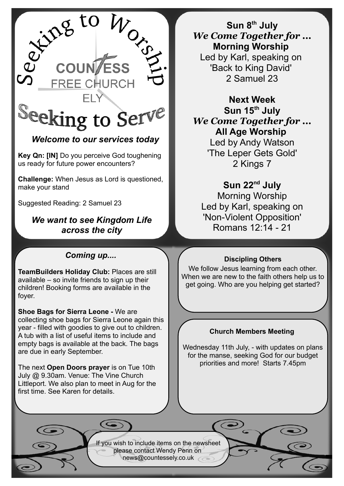

# *Welcome to our services today*

**Key Qn: [IN]** Do you perceive God toughening us ready for future power encounters?

**Challenge:** When Jesus as Lord is questioned, make your stand

Suggested Reading: 2 Samuel 23

## *We want to see Kingdom Life across the city*

## *Coming up....*

**TeamBuilders Holiday Club:** Places are still available – so invite friends to sign up their children! Booking forms are available in the foyer.

**Shoe Bags for Sierra Leone -** We are collecting shoe bags for Sierra Leone again this year - filled with goodies to give out to children. A tub with a list of useful items to include and empty bags is available at the back. The bags are due in early September.

The next **Open Doors prayer** is on Tue 10th July @ 9.30am. Venue: The Vine Church Littleport. We also plan to meet in Aug for the first time. See Karen for details.

**Sun 8th July** *We Come Together for ...* **Morning Worship**  Led by Karl, speaking on 'Back to King David' 2 Samuel 23

**Next Week Sun 15th July** *We Come Together for ...* **All Age Worship**  Led by Andy Watson 'The Leper Gets Gold' 2 Kings 7

**Sun 22nd July** Morning Worship Led by Karl, speaking on 'Non-Violent Opposition' Romans 12:14 - 21

### **Discipling Others**

We follow Jesus learning from each other. When we are new to the faith others help us to get going. Who are you helping get started?

### **Church Members Meeting**

Wednesday 11th July, - with updates on plans for the manse, seeking God for our budget priorities and more! Starts 7.45pm

If you wish to include items on the newsheet please contact Wendy Penn on [news@countessely.co.uk](mailto:news@countessely.co.uk)